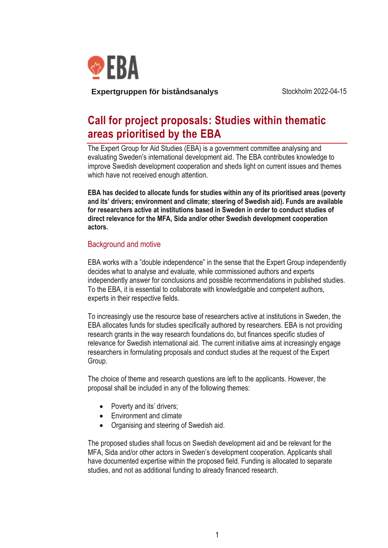

**Expertgruppen för biståndsanalys**

# **Call for project proposals: Studies within thematic areas prioritised by the EBA**

The Expert Group for Aid Studies (EBA) is a government committee analysing and evaluating Sweden's international development aid. The EBA contributes knowledge to improve Swedish development cooperation and sheds light on current issues and themes which have not received enough attention.

**EBA has decided to allocate funds for studies within any of its prioritised areas (poverty and its' drivers; environment and climate; steering of Swedish aid). Funds are available for researchers active at institutions based in Sweden in order to conduct studies of direct relevance for the MFA, Sida and/or other Swedish development cooperation actors.**

# Background and motive

EBA works with a "double independence" in the sense that the Expert Group independently decides what to analyse and evaluate, while commissioned authors and experts independently answer for conclusions and possible recommendations in published studies. To the EBA, it is essential to collaborate with knowledgable and competent authors, experts in their respective fields.

To increasingly use the resource base of researchers active at institutions in Sweden, the EBA allocates funds for studies specifically authored by researchers. EBA is not providing research grants in the way research foundations do, but finances specific studies of relevance for Swedish international aid. The current initiative aims at increasingly engage researchers in formulating proposals and conduct studies at the request of the Expert Group.

The choice of theme and research questions are left to the applicants. However, the proposal shall be included in any of the following themes:

- Poverty and its' drivers;
- Environment and climate
- Organising and steering of Swedish aid.

The proposed studies shall focus on Swedish development aid and be relevant for the MFA, Sida and/or other actors in Sweden's development cooperation. Applicants shall have documented expertise within the proposed field. Funding is allocated to separate studies, and not as additional funding to already financed research.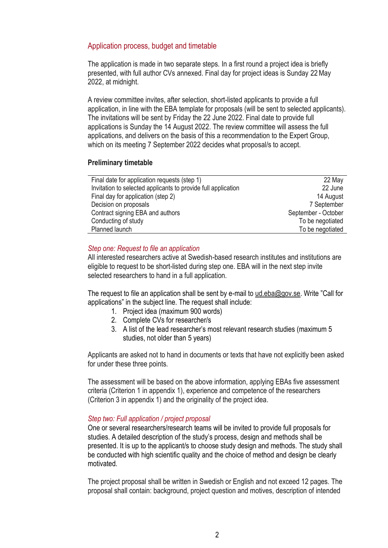# Application process, budget and timetable

The application is made in two separate steps. In a first round a project idea is briefly presented, with full author CVs annexed. Final day for project ideas is Sunday 22May 2022, at midnight.

A review committee invites, after selection, short-listed applicants to provide a full application, in line with the EBA template for proposals (will be sent to selected applicants). The invitations will be sent by Friday the 22 June 2022. Final date to provide full applications is Sunday the 14 August 2022. The review committee will assess the full applications, and delivers on the basis of this a recommendation to the Expert Group, which on its meeting 7 September 2022 decides what proposal/s to accept.

### **Preliminary timetable**

| Final date for application requests (step 1)                  | 22 May              |
|---------------------------------------------------------------|---------------------|
| Invitation to selected applicants to provide full application | 22 June             |
| Final day for application (step 2)                            | 14 August           |
| Decision on proposals                                         | 7 September         |
| Contract signing EBA and authors                              | September - October |
| Conducting of study                                           | To be negotiated    |
| Planned launch                                                | To be negotiated    |
|                                                               |                     |

### *Step one: Request to file an application*

All interested researchers active at Swedish-based research institutes and institutions are eligible to request to be short-listed during step one. EBA will in the next step invite selected researchers to hand in a full application.

The request to file an application shall be sent by e-mail to [ud.eba@gov.se.](mailto:ud.eba@gov.se) Write "Call for applications" in the subject line. The request shall include:

- 1. Project idea (maximum 900 words)
- 2. Complete CVs for researcher/s
- 3. A list of the lead researcher's most relevant research studies (maximum 5 studies, not older than 5 years)

Applicants are asked not to hand in documents or texts that have not explicitly been asked for under these three points.

The assessment will be based on the above information, applying EBAs five assessment criteria (Criterion 1 in appendix 1), experience and competence of the researchers (Criterion 3 in appendix 1) and the originality of the project idea.

### *Step two: Full application / project proposal*

One or several researchers/research teams will be invited to provide full proposals for studies. A detailed description of the study's process, design and methods shall be presented. It is up to the applicant/s to choose study design and methods. The study shall be conducted with high scientific quality and the choice of method and design be clearly motivated.

The project proposal shall be written in Swedish or English and not exceed 12 pages. The proposal shall contain: background, project question and motives, description of intended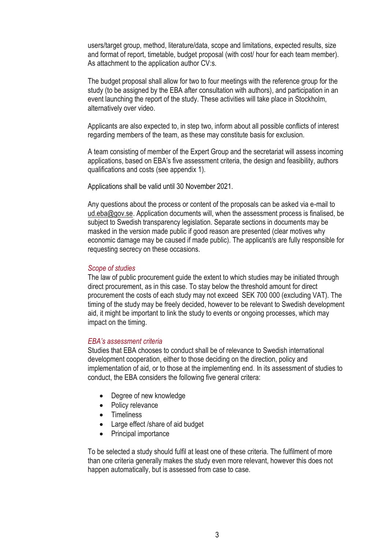users/target group, method, literature/data, scope and limitations, expected results, size and format of report, timetable, budget proposal (with cost/ hour for each team member). As attachment to the application author CV:s.

The budget proposal shall allow for two to four meetings with the reference group for the study (to be assigned by the EBA after consultation with authors), and participation in an event launching the report of the study. These activities will take place in Stockholm, alternatively over video.

Applicants are also expected to, in step two, inform about all possible conflicts of interest regarding members of the team, as these may constitute basis for exclusion.

A team consisting of member of the Expert Group and the secretariat will assess incoming applications, based on EBA's five assessment criteria, the design and feasibility, authors qualifications and costs (see appendix 1).

Applications shall be valid until 30 November 2021.

Any questions about the process or content of the proposals can be asked via e-mail to [ud.eba@gov.se.](mailto:ud.eba@gov.se) Application documents will, when the assessment process is finalised, be subject to Swedish transparency legislation. Separate sections in documents may be masked in the version made public if good reason are presented (clear motives why economic damage may be caused if made public). The applicant/s are fully responsible for requesting secrecy on these occasions.

#### *Scope of studies*

The law of public procurement guide the extent to which studies may be initiated through direct procurement, as in this case. To stay below the threshold amount for direct procurement the costs of each study may not exceed SEK 700 000 (excluding VAT). The timing of the study may be freely decided, however to be relevant to Swedish development aid, it might be important to link the study to events or ongoing processes, which may impact on the timing.

#### *EBA's assessment criteria*

Studies that EBA chooses to conduct shall be of relevance to Swedish international development cooperation, either to those deciding on the direction, policy and implementation of aid, or to those at the implementing end. In its assessment of studies to conduct, the EBA considers the following five general critera:

- Degree of new knowledge
- Policy relevance
- Timeliness
- Large effect /share of aid budget
- Principal importance

To be selected a study should fulfil at least one of these criteria. The fulfilment of more than one criteria generally makes the study even more relevant, however this does not happen automatically, but is assessed from case to case.